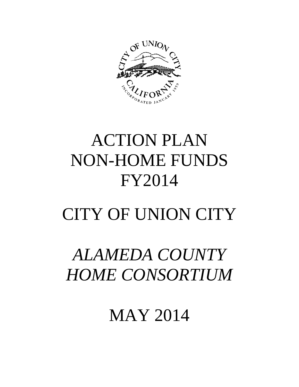

# ACTION PLAN NON-HOME FUNDS FY2014

# CITY OF UNION CITY

# *ALAMEDA COUNTY HOME CONSORTIUM*

MAY 2014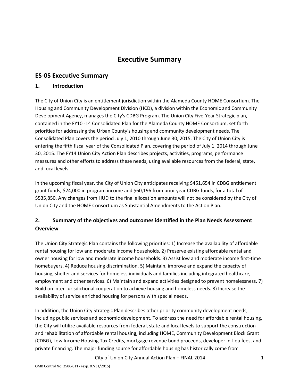## **Executive Summary**

## **ES-05 Executive Summary**

#### **1. Introduction**

The City of Union City is an entitlement jurisdiction within the Alameda County HOME Consortium. The Housing and Community Development Division (HCD), a division within the Economic and Community Development Agency, manages the City's CDBG Program. The Union City Five-Year Strategic plan, contained in the FY10 -14 Consolidated Plan for the Alameda County HOME Consortium, set forth priorities for addressing the Urban County's housing and community development needs. The Consolidated Plan covers the period July 1, 2010 through June 30, 2015. The City of Union City is entering the fifth fiscal year of the Consolidated Plan, covering the period of July 1, 2014 through June 30, 2015. The FY14 Union City Action Plan describes projects, activities, programs, performance measures and other efforts to address these needs, using available resources from the federal, state, and local levels.

In the upcoming fiscal year, the City of Union City anticipates receiving \$451,654 in CDBG entitlement grant funds, \$24,000 in program income and \$60,196 from prior year CDBG funds, for a total of \$535,850. Any changes from HUD to the final allocation amounts will not be considered by the City of Union City and the HOME Consortium as Substantial Amendments to the Action Plan.

## **2. Summary of the objectives and outcomes identified in the Plan Needs Assessment Overview**

The Union City Strategic Plan contains the following priorities: 1) Increase the availability of affordable rental housing for low and moderate income households. 2) Preserve existing affordable rental and owner housing for low and moderate income households. 3) Assist low and moderate income first-time homebuyers. 4) Reduce housing discrimination. 5) Maintain, improve and expand the capacity of housing, shelter and services for homeless individuals and families including integrated healthcare, employment and other services. 6) Maintain and expand activities designed to prevent homelessness. 7) Build on inter-jurisdictional cooperation to achieve housing and homeless needs. 8) Increase the availability of service enriched housing for persons with special needs.

In addition, the Union City Strategic Plan describes other priority community development needs, including public services and economic development. To address the need for affordable rental housing, the City will utilize available resources from federal, state and local levels to support the construction and rehabilitation of affordable rental housing, including HOME, Community Development Block Grant (CDBG), Low Income Housing Tax Credits, mortgage revenue bond proceeds, developer in-lieu fees, and private financing. The major funding source for affordable housing has historically come from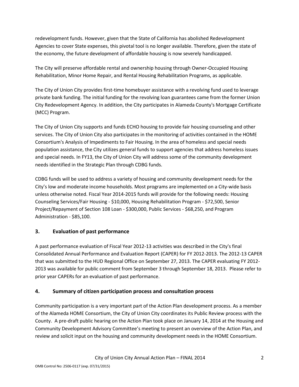redevelopment funds. However, given that the State of California has abolished Redevelopment Agencies to cover State expenses, this pivotal tool is no longer available. Therefore, given the state of the economy, the future development of affordable housing is now severely handicapped.

The City will preserve affordable rental and ownership housing through Owner-Occupied Housing Rehabilitation, Minor Home Repair, and Rental Housing Rehabilitation Programs, as applicable.

The City of Union City provides first-time homebuyer assistance with a revolving fund used to leverage private bank funding. The initial funding for the revolving loan guarantees came from the former Union City Redevelopment Agency. In addition, the City participates in Alameda County's Mortgage Certificate (MCC) Program.

The City of Union City supports and funds ECHO housing to provide fair housing counseling and other services. The City of Union City also participates in the monitoring of activities contained in the HOME Consortium's Analysis of Impediments to Fair Housing. In the area of homeless and special needs population assistance, the City utilizes general funds to support agencies that address homeless issues and special needs. In FY13, the City of Union City will address some of the community development needs identified in the Strategic Plan through CDBG funds.

CDBG funds will be used to address a variety of housing and community development needs for the City's low and moderate income households. Most programs are implemented on a City-wide basis unless otherwise noted. Fiscal Year 2014-2015 funds will provide for the following needs: Housing Counseling Services/Fair Housing - \$10,000, Housing Rehabilitation Program - \$72,500, Senior Project/Repayment of Section 108 Loan - \$300,000, Public Services - \$68,250, and Program Administration - \$85,100.

## **3. Evaluation of past performance**

A past performance evaluation of Fiscal Year 2012-13 activities was described in the City's final Consolidated Annual Performance and Evaluation Report (CAPER) for FY 2012-2013. The 2012-13 CAPER that was submitted to the HUD Regional Office on September 27, 2013. The CAPER evaluating FY 2012- 2013 was available for public comment from September 3 through September 18, 2013. Please refer to prior year CAPERs for an evaluation of past performance.

## **4. Summary of citizen participation process and consultation process**

Community participation is a very important part of the Action Plan development process. As a member of the Alameda HOME Consortium, the City of Union City coordinates its Public Review process with the County. A pre-draft public hearing on the Action Plan took place on January 14, 2014 at the Housing and Community Development Advisory Committee's meeting to present an overview of the Action Plan, and review and solicit input on the housing and community development needs in the HOME Consortium.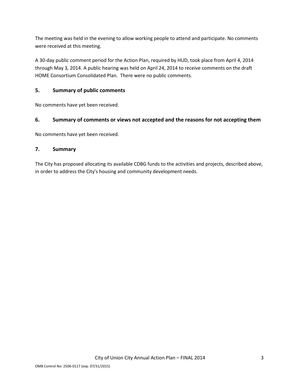The meeting was held in the evening to allow working people to attend and participate. No comments were received at this meeting.

A 30-day public comment period for the Action Plan, required by HUD, took place from April 4, 2014 through May 3*,* 2014. A public hearing was held on April 24, 2014 to receive comments on the draft HOME Consortium Consolidated Plan. There were no public comments.

### **5. Summary of public comments**

No comments have yet been received.

### **6. Summary of comments or views not accepted and the reasons for not accepting them**

No comments have yet been received.

#### **7. Summary**

The City has proposed allocating its available CDBG funds to the activities and projects, described above, in order to address the City's housing and community development needs.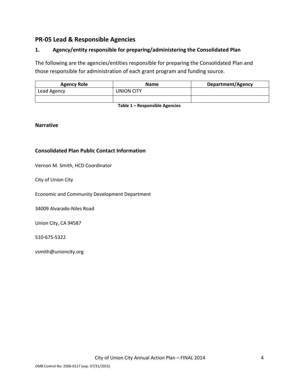## **PR-05 Lead & Responsible Agencies**

#### **1. Agency/entity responsible for preparing/administering the Consolidated Plan**

The following are the agencies/entities responsible for preparing the Consolidated Plan and those responsible for administration of each grant program and funding source.

| <b>Agency Role</b> | <b>Name</b> | <b>Department/Agency</b> |
|--------------------|-------------|--------------------------|
| Lead Agency        | UNION CITY  |                          |
|                    |             |                          |

**Table 1 – Responsible Agencies**

#### **Narrative**

#### **Consolidated Plan Public Contact Information**

Vernon M. Smith, HCD Coordinator

City of Union City

Economic and Community Development Department

34009 Alvarado-Niles Road

Union City, CA 94587

510-675-5322

vsmith@unioncity.org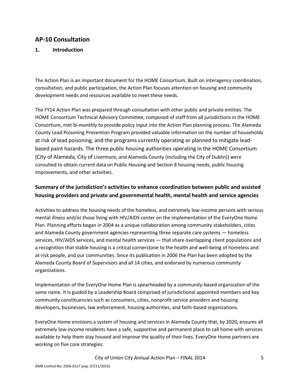## **AP-10 Consultation**

#### **1. Introduction**

The Action Plan is an important document for the HOME Consortium. Built on interagency coordination, consultation, and public participation, the Action Plan focuses attention on housing and community development needs and resources available to meet these needs.

The FY14 Action Plan was prepared through consultation with other public and private entities. The HOME Consortium Technical Advisory Committee, composed of staff from all jurisdictions in the HOME Consortium, met bi-monthly to provide policy input into the Action Plan planning process. The Alameda County Lead Poisoning Prevention Program provided valuable information on the number of households at risk of lead poisoning, and the programs currently operating or planned to mitigate leadbased paint hazards. The three public housing authorities operating in the HOME Consortium (City of Alameda, City of Livermore, and Alameda County (including the City of Dublin)) were consulted to obtain current data on Public Housing and Section 8 housing needs, public housing improvements, and other activities.

## **Summary of the jurisdiction's activities to enhance coordination between public and assisted housing providers and private and governmental health, mental health and service agencies**

Activities to address the housing needs of the homeless, and extremely low-income persons with serious mental illness and/or those living with HIV/AIDS center on the implementation of the EveryOne Home Plan. Planning efforts began in 2004 as a unique collaboration among community stakeholders, cities and Alameda County government agencies representing three separate care systems — homeless services, HIV/AIDS services, and mental health services — that share overlapping client populations and a recognition that stable housing is a critical cornerstone to the health and well-being of homeless and at-risk people, and our communities. Since its publication in 2006 the Plan has been adopted by the Alameda County Board of Supervisors and all 14 cities, and endorsed by numerous community organizations.

Implementation of the EveryOne Home Plan is spearheaded by a community-based organization of the same name. It is guided by a Leadership Board comprised of jurisdictional appointed members and key community constituencies such as consumers, cities, nonprofit service providers and housing developers, businesses, law enforcement, housing authorities, and faith-based organizations.

EveryOne Home envisions a system of housing and services in Alameda County that, by 2020, ensures all extremely low-income residents have a safe, supportive and permanent place to call home with services available to help them stay housed and improve the quality of their lives. EveryOne Home partners are working on five core strategies: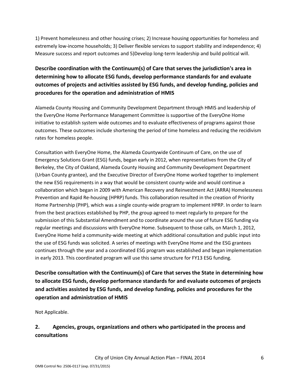1) Prevent homelessness and other housing crises; 2) Increase housing opportunities for homeless and extremely low-income households; 3) Deliver flexible services to support stability and independence; 4) Measure success and report outcomes and 5)Develop long-term leadership and build political will.

## **Describe coordination with the Continuum(s) of Care that serves the jurisdiction's area in determining how to allocate ESG funds, develop performance standards for and evaluate outcomes of projects and activities assisted by ESG funds, and develop funding, policies and procedures for the operation and administration of HMIS**

Alameda County Housing and Community Development Department through HMIS and leadership of the EveryOne Home Performance Management Committee is supportive of the EveryOne Home initiative to establish system wide outcomes and to evaluate effectiveness of programs against those outcomes. These outcomes include shortening the period of time homeless and reducing the recidivism rates for homeless people.

Consultation with EveryOne Home, the Alameda Countywide Continuum of Care, on the use of Emergency Solutions Grant (ESG) funds, began early in 2012, when representatives from the City of Berkeley, the City of Oakland, Alameda County Housing and Community Development Department (Urban County grantee), and the Executive Director of EveryOne Home worked together to implement the new ESG requirements in a way that would be consistent county-wide and would continue a collaboration which began in 2009 with American Recovery and Reinvestment Act (ARRA) Homelessness Prevention and Rapid Re-housing (HPRP) funds. This collaboration resulted in the creation of Priority Home Partnership (PHP), which was a single county-wide program to implement HPRP. In order to learn from the best practices established by PHP, the group agreed to meet regularly to prepare for the submission of this Substantial Amendment and to coordinate around the use of future ESG funding via regular meetings and discussions with EveryOne Home. Subsequent to those calls, on March 1, 2012, EveryOne Home held a community-wide meeting at which additional consultation and public input into the use of ESG funds was solicited. A series of meetings with EveryOne Home and the ESG grantees continues through the year and a coordinated ESG program was established and began implementation in early 2013. This coordinated program will use this same structure for FY13 ESG funding.

**Describe consultation with the Continuum(s) of Care that serves the State in determining how to allocate ESG funds, develop performance standards for and evaluate outcomes of projects and activities assisted by ESG funds, and develop funding, policies and procedures for the operation and administration of HMIS**

Not Applicable.

## **2. Agencies, groups, organizations and others who participated in the process and consultations**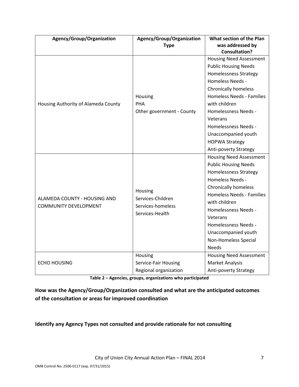| Agency/Group/Organization           | Agency/Group/Organization | What section of the Plan         |
|-------------------------------------|---------------------------|----------------------------------|
|                                     | <b>Type</b>               | was addressed by                 |
|                                     |                           | <b>Consultation?</b>             |
|                                     |                           | <b>Housing Need Assessment</b>   |
|                                     |                           | <b>Public Housing Needs</b>      |
|                                     |                           | Homelessness Strategy            |
|                                     |                           | Homeless Needs -                 |
|                                     |                           | <b>Chronically homeless</b>      |
|                                     | Housing                   | Homeless Needs - Families        |
| Housing Authority of Alameda County | PHA                       | with children                    |
|                                     | Other government - County | Homelessness Needs -             |
|                                     |                           | Veterans                         |
|                                     |                           | Homelessness Needs -             |
|                                     |                           | Unaccompanied youth              |
|                                     |                           | <b>HOPWA Strategy</b>            |
|                                     |                           | Anti-poverty Strategy            |
|                                     |                           | <b>Housing Need Assessment</b>   |
|                                     |                           | <b>Public Housing Needs</b>      |
|                                     |                           | Homelessness Strategy            |
|                                     |                           | Homeless Needs -                 |
|                                     | Housing                   | Chronically homeless             |
| ALAMEDA COUNTY - HOUSING AND        | Services-Children         | <b>Homeless Needs - Families</b> |
| <b>COMMUNITY DEVELOPMENT</b>        | Services-homeless         | with children                    |
|                                     | Services-Health           | Homelessness Needs -             |
|                                     |                           | Veterans                         |
|                                     |                           | Homelessness Needs -             |
|                                     |                           | Unaccompanied youth              |
|                                     |                           | Non-Homeless Special             |
|                                     |                           | <b>Needs</b>                     |
|                                     | Housing                   | <b>Housing Need Assessment</b>   |
| <b>ECHO HOUSING</b>                 | Service-Fair Housing      | <b>Market Analysis</b>           |
|                                     | Regional organization     | Anti-poverty Strategy            |

**Table 2 – Agencies, groups, organizations who participated**

**How was the Agency/Group/Organization consulted and what are the anticipated outcomes of the consultation or areas for improved coordination**

**Identify any Agency Types not consulted and provide rationale for not consulting**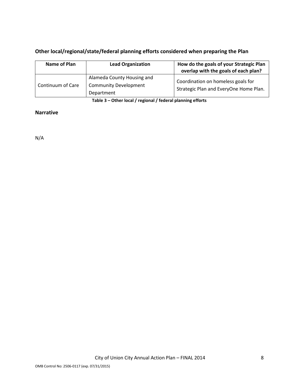#### **Other local/regional/state/federal planning efforts considered when preparing the Plan**

| <b>Name of Plan</b> | <b>Lead Organization</b>                                                 | How do the goals of your Strategic Plan<br>overlap with the goals of each plan? |
|---------------------|--------------------------------------------------------------------------|---------------------------------------------------------------------------------|
| Continuum of Care   | Alameda County Housing and<br><b>Community Development</b><br>Department | Coordination on homeless goals for<br>Strategic Plan and EveryOne Home Plan.    |

**Table 3 – Other local / regional / federal planning efforts**

#### **Narrative**

N/A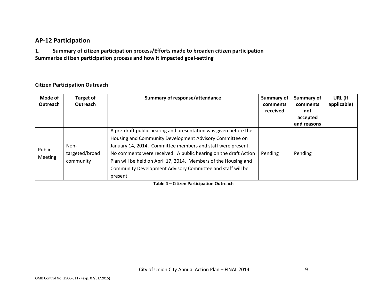## **AP-12 Participation**

**1. Summary of citizen participation process/Efforts made to broaden citizen participation Summarize citizen participation process and how it impacted goal-setting**

#### **Citizen Participation Outreach**

| Mode of<br>Outreach      | <b>Target of</b><br>Outreach        | Summary of response/attendance                                                                                                                                                                                                                                                                                                                                                                             | Summary of<br>comments<br>received | <b>Summary of</b><br>comments<br>not | URL (If<br>applicable) |
|--------------------------|-------------------------------------|------------------------------------------------------------------------------------------------------------------------------------------------------------------------------------------------------------------------------------------------------------------------------------------------------------------------------------------------------------------------------------------------------------|------------------------------------|--------------------------------------|------------------------|
|                          |                                     |                                                                                                                                                                                                                                                                                                                                                                                                            |                                    | accepted<br>and reasons              |                        |
| Public<br><b>Meeting</b> | Non-<br>targeted/broad<br>community | A pre-draft public hearing and presentation was given before the<br>Housing and Community Development Advisory Committee on<br>January 14, 2014. Committee members and staff were present.<br>No comments were received. A public hearing on the draft Action<br>Plan will be held on April 17, 2014. Members of the Housing and<br>Community Development Advisory Committee and staff will be<br>present. | Pending                            | Pending                              |                        |

**Table 4 – Citizen Participation Outreach**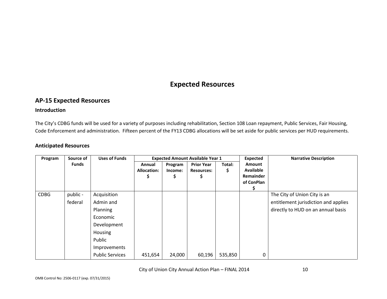## **Expected Resources**

## **AP-15 Expected Resources**

#### **Introduction**

The City's CDBG funds will be used for a variety of purposes including rehabilitation, Section 108 Loan repayment, Public Services, Fair Housing, Code Enforcement and administration. Fifteen percent of the FY13 CDBG allocations will be set aside for public services per HUD requirements.

#### **Anticipated Resources**

| Program     | Source of    | <b>Uses of Funds</b>   |                                   |                         | <b>Expected Amount Available Year 1</b>     |              | <b>Expected</b>                                                     | <b>Narrative Description</b>         |
|-------------|--------------|------------------------|-----------------------------------|-------------------------|---------------------------------------------|--------------|---------------------------------------------------------------------|--------------------------------------|
|             | <b>Funds</b> |                        | Annual<br><b>Allocation:</b><br>⋗ | Program<br>Income:<br>Ş | <b>Prior Year</b><br><b>Resources:</b><br>Ş | Total:<br>\$ | <b>Amount</b><br><b>Available</b><br><b>Remainder</b><br>of ConPlan |                                      |
| <b>CDBG</b> | public -     | Acquisition            |                                   |                         |                                             |              |                                                                     | The City of Union City is an         |
|             | federal      | Admin and              |                                   |                         |                                             |              |                                                                     | entitlement jurisdiction and applies |
|             |              | Planning               |                                   |                         |                                             |              |                                                                     | directly to HUD on an annual basis   |
|             |              | Economic               |                                   |                         |                                             |              |                                                                     |                                      |
|             |              | Development            |                                   |                         |                                             |              |                                                                     |                                      |
|             |              | <b>Housing</b>         |                                   |                         |                                             |              |                                                                     |                                      |
|             |              | Public                 |                                   |                         |                                             |              |                                                                     |                                      |
|             |              | Improvements           |                                   |                         |                                             |              |                                                                     |                                      |
|             |              | <b>Public Services</b> | 451,654                           | 24,000                  | 60,196                                      | 535,850      | 0                                                                   |                                      |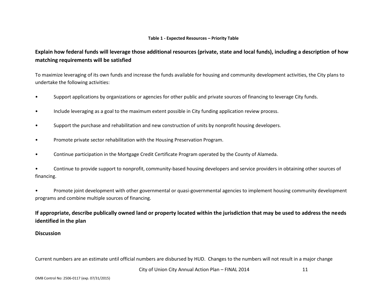#### **Table 1 - Expected Resources – Priority Table**

## **Explain how federal funds will leverage those additional resources (private, state and local funds), including a description of how matching requirements will be satisfied**

To maximize leveraging of its own funds and increase the funds available for housing and community development activities, the City plans to undertake the following activities:

- Support applications by organizations or agencies for other public and private sources of financing to leverage City funds.
- Include leveraging as a goal to the maximum extent possible in City funding application review process.
- Support the purchase and rehabilitation and new construction of units by nonprofit housing developers.
- Promote private sector rehabilitation with the Housing Preservation Program.
- Continue participation in the Mortgage Credit Certificate Program operated by the County of Alameda.
- Continue to provide support to nonprofit, community-based housing developers and service providers in obtaining other sources of financing.
- Promote joint development with other governmental or quasi-governmental agencies to implement housing community development programs and combine multiple sources of financing.

## **If appropriate, describe publically owned land or property located within the jurisdiction that may be used to address the needs identified in the plan**

#### **Discussion**

Current numbers are an estimate until official numbers are disbursed by HUD. Changes to the numbers will not result in a major change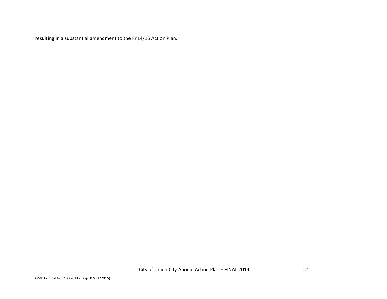resulting in a substantial amendment to the FY14/15 Action Plan.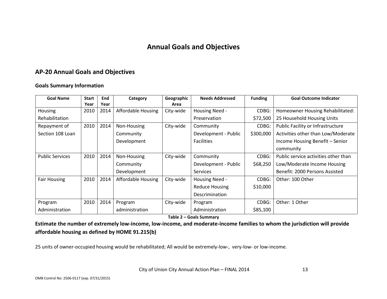## **Annual Goals and Objectives**

### **AP-20 Annual Goals and Objectives**

#### **Goals Summary Information**

| <b>Goal Name</b>       | <b>Start</b><br>Year | <b>End</b><br>Year | Category           | Geographic<br>Area | <b>Needs Addressed</b> | <b>Funding</b> | <b>Goal Outcome Indicator</b>        |
|------------------------|----------------------|--------------------|--------------------|--------------------|------------------------|----------------|--------------------------------------|
| Housing                | 2010                 | 2014               | Affordable Housing | City-wide          | Housing Need -         | CDBG:          | Homeowner Housing Rehabilitated:     |
| <b>Rehabilitation</b>  |                      |                    |                    |                    | Preservation           | \$72,500       | 25 Household Housing Units           |
| Repayment of           | 2010                 | 2014               | Non-Housing        | City-wide          | Community              | CDBG:          | Public Facility or Infrastructure    |
| Section 108 Loan       |                      |                    | Community          |                    | Development - Public   | \$300,000      | Activities other than Low/Moderate   |
|                        |                      |                    | Development        |                    | <b>Facilities</b>      |                | Income Housing Benefit - Senior      |
|                        |                      |                    |                    |                    |                        |                | community                            |
| <b>Public Services</b> | 2010                 | 2014               | Non-Housing        | City-wide          | Community              | CDBG:          | Public service activities other than |
|                        |                      |                    | Community          |                    | Development - Public   | \$68,250       | Low/Moderate Income Housing          |
|                        |                      |                    | Development        |                    | <b>Services</b>        |                | Benefit: 2000 Persons Assisted       |
| <b>Fair Housing</b>    | 2010                 | 2014               | Affordable Housing | City-wide          | Housing Need -         | CDBG:          | Other: 100 Other                     |
|                        |                      |                    |                    |                    | <b>Reduce Housing</b>  | \$10,000       |                                      |
|                        |                      |                    |                    |                    | <b>Descrimination</b>  |                |                                      |
| Program                | 2010                 | 2014               | Program            | City-wide          | Program                | CDBG:          | Other: 1 Other                       |
| Administration         |                      |                    | administration     |                    | Administration         | \$85,100       |                                      |

**Table 2 – Goals Summary**

**Estimate the number of extremely low-income, low-income, and moderate-income families to whom the jurisdiction will provide affordable housing as defined by HOME 91.215(b)**

25 units of owner-occupied housing would be rehabilitated; All would be extremely-low-, very-low- or low-income.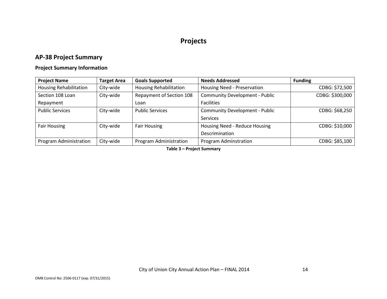# **Projects**

## **AP-38 Project Summary**

#### **Project Summary Information**

| <b>Project Name</b>           | <b>Target Area</b> | <b>Goals Supported</b>        | <b>Needs Addressed</b>                | <b>Funding</b>  |
|-------------------------------|--------------------|-------------------------------|---------------------------------------|-----------------|
| <b>Housing Rehabilitation</b> | City-wide          | <b>Housing Rehabilitation</b> | <b>Housing Need - Preservation</b>    | CDBG: \$72,500  |
| Section 108 Loan              | City-wide          | Repayment of Section 108      | <b>Community Development - Public</b> | CDBG: \$300,000 |
| Repayment                     |                    | Loan                          | <b>Facilities</b>                     |                 |
| <b>Public Services</b>        | City-wide          | <b>Public Services</b>        | <b>Community Development - Public</b> | CDBG: \$68,250  |
|                               |                    |                               | <b>Services</b>                       |                 |
| <b>Fair Housing</b>           | City-wide          | <b>Fair Housing</b>           | Housing Need - Reduce Housing         | CDBG: \$10,000  |
|                               |                    |                               | Descrimination                        |                 |
| Program Administration        | City-wide          | Program Administration        | Program Adminstration                 | CDBG: \$85,100  |

**Table 3 – Project Summary**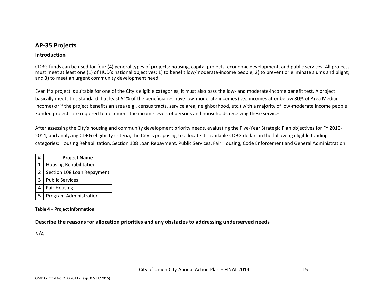## **AP-35 Projects**

#### **Introduction**

CDBG funds can be used for four (4) general types of projects: housing, capital projects, economic development, and public services. All projects must meet at least one (1) of HUD's national objectives: 1) to benefit low/moderate-income people; 2) to prevent or eliminate slums and blight; and 3) to meet an urgent community development need.

Even if a project is suitable for one of the City's eligible categories, it must also pass the low- and moderate-income benefit test. A project basically meets this standard if at least 51% of the beneficiaries have low-moderate incomes (i.e., incomes at or below 80% of Area Median Income) or if the project benefits an area (e.g., census tracts, service area, neighborhood, etc.) with a majority of low-moderate income people. Funded projects are required to document the income levels of persons and households receiving these services.

After assessing the City's housing and community development priority needs, evaluating the Five-Year Strategic Plan objectives for FY 2010- 2014, and analyzing CDBG eligibility criteria, the City is proposing to allocate its available CDBG dollars in the following eligible funding categories: Housing Rehabilitation, Section 108 Loan Repayment, Public Services, Fair Housing, Code Enforcement and General Administration.

| #              | <b>Project Name</b>           |
|----------------|-------------------------------|
| 1              | <b>Housing Rehabilitation</b> |
| $\overline{2}$ | Section 108 Loan Repayment    |
| 3              | <b>Public Services</b>        |
| 4              | <b>Fair Housing</b>           |
| 5              | Program Administration        |

#### **Table 4 – Project Information**

**Describe the reasons for allocation priorities and any obstacles to addressing underserved needs**

N/A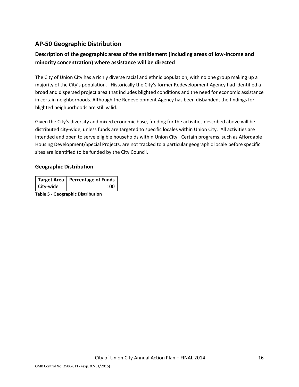## **AP-50 Geographic Distribution**

## **Description of the geographic areas of the entitlement (including areas of low-income and minority concentration) where assistance will be directed**

The City of Union City has a richly diverse racial and ethnic population, with no one group making up a majority of the City's population. Historically the City's former Redevelopment Agency had identified a broad and dispersed project area that includes blighted conditions and the need for economic assistance in certain neighborhoods. Although the Redevelopment Agency has been disbanded, the findings for blighted neighborhoods are still valid.

Given the City's diversity and mixed economic base, funding for the activities described above will be distributed city-wide, unless funds are targeted to specific locales within Union City. All activities are intended and open to serve eligible households within Union City. Certain programs, such as Affordable Housing Development/Special Projects, are not tracked to a particular geographic locale before specific sites are identified to be funded by the City Council.

#### **Geographic Distribution**

|           | Target Area   Percentage of Funds |
|-----------|-----------------------------------|
| City-wide | 100                               |

**Table 5 - Geographic Distribution**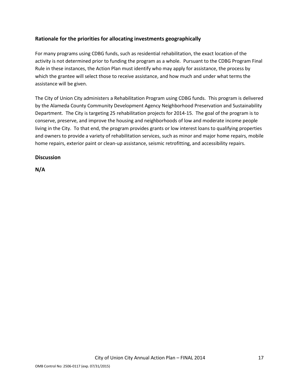#### **Rationale for the priorities for allocating investments geographically**

For many programs using CDBG funds, such as residential rehabilitation, the exact location of the activity is not determined prior to funding the program as a whole. Pursuant to the CDBG Program Final Rule in these instances, the Action Plan must identify who may apply for assistance, the process by which the grantee will select those to receive assistance, and how much and under what terms the assistance will be given.

The City of Union City administers a Rehabilitation Program using CDBG funds. This program is delivered by the Alameda County Community Development Agency Neighborhood Preservation and Sustainability Department. The City is targeting 25 rehabilitation projects for 2014-15. The goal of the program is to conserve, preserve, and improve the housing and neighborhoods of low and moderate income people living in the City. To that end, the program provides grants or low interest loans to qualifying properties and owners to provide a variety of rehabilitation services, such as minor and major home repairs, mobile home repairs, exterior paint or clean-up assistance, seismic retrofitting, and accessibility repairs.

#### **Discussion**

**N/A**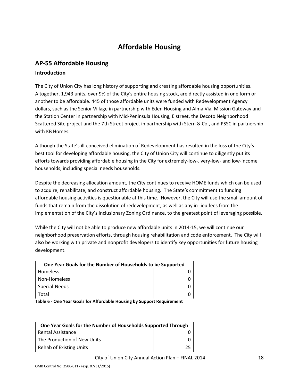# **Affordable Housing**

## **AP-55 Affordable Housing**

#### **Introduction**

The City of Union City has long history of supporting and creating affordable housing opportunities. Altogether, 1,943 units, over 9% of the City's entire housing stock, are directly assisted in one form or another to be affordable. 445 of those affordable units were funded with Redevelopment Agency dollars, such as the Senior Village in partnership with Eden Housing and Alma Via, Mission Gateway and the Station Center in partnership with Mid-Peninsula Housing, E street, the Decoto Neighborhood Scattered Site project and the 7th Street project in partnership with Stern & Co., and PSSC in partnership with KB Homes.

Although the State's ill-conceived elimination of Redevelopment has resulted in the loss of the City's best tool for developing affordable housing, the City of Union City will continue to diligently put its efforts towards providing affordable housing in the City for extremely-low-, very-low- and low-income households, including special needs households.

Despite the decreasing allocation amount, the City continues to receive HOME funds which can be used to acquire, rehabilitate, and construct affordable housing. The State's commitment to funding affordable housing activities is questionable at this time. However, the City will use the small amount of funds that remain from the dissolution of redevelopment, as well as any in-lieu fees from the implementation of the City's Inclusionary Zoning Ordinance, to the greatest point of leveraging possible.

While the City will not be able to produce new affordable units in 2014-15, we will continue our neighborhood preservation efforts, through housing rehabilitation and code enforcement. The City will also be working with private and nonprofit developers to identify key opportunities for future housing development.

| One Year Goals for the Number of Households to be Supported |  |  |
|-------------------------------------------------------------|--|--|
| Homeless                                                    |  |  |
| Non-Homeless                                                |  |  |
| Special-Needs                                               |  |  |
| Total                                                       |  |  |

**Table 6 - One Year Goals for Affordable Housing by Support Requirement**

| One Year Goals for the Number of Households Supported Through |    |  |  |  |
|---------------------------------------------------------------|----|--|--|--|
| <b>Rental Assistance</b>                                      |    |  |  |  |
| The Production of New Units                                   |    |  |  |  |
| <b>Rehab of Existing Units</b>                                | 25 |  |  |  |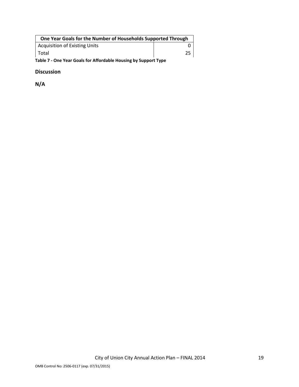| One Year Goals for the Number of Households Supported Through        |  |  |  |  |
|----------------------------------------------------------------------|--|--|--|--|
| <b>Acquisition of Existing Units</b>                                 |  |  |  |  |
| Total                                                                |  |  |  |  |
| Feble 7 - One Vesu Caele fan Affandelekt Harreine bri Crimnant Trins |  |  |  |  |

**Table 7 - One Year Goals for Affordable Housing by Support Type**

#### **Discussion**

**N/A**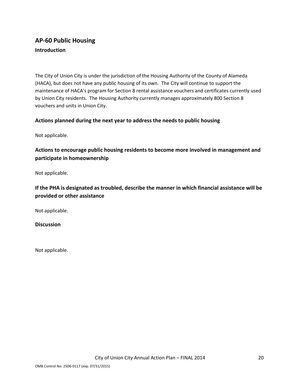## **AP-60 Public Housing Introduction**

The City of Union City is under the jurisdiction of the Housing Authority of the County of Alameda (HACA), but does not have any public housing of its own. The City will continue to support the maintenance of HACA's program for Section 8 rental assistance vouchers and certificates currently used by Union City residents. The Housing Authority currently manages approximately 800 Section 8 vouchers and units in Union City.

#### **Actions planned during the next year to address the needs to public housing**

Not applicable.

## **Actions to encourage public housing residents to become more involved in management and participate in homeownership**

Not applicable.

## **If the PHA is designated as troubled, describe the manner in which financial assistance will be provided or other assistance**

Not applicable.

**Discussion**

Not applicable.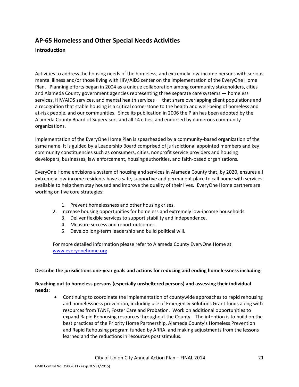## **AP-65 Homeless and Other Special Needs Activities**

#### **Introduction**

Activities to address the housing needs of the homeless, and extremely low-income persons with serious mental illness and/or those living with HIV/AIDS center on the implementation of the EveryOne Home Plan. Planning efforts began in 2004 as a unique collaboration among community stakeholders, cities and Alameda County government agencies representing three separate care systems — homeless services, HIV/AIDS services, and mental health services — that share overlapping client populations and a recognition that stable housing is a critical cornerstone to the health and well-being of homeless and at-risk people, and our communities. Since its publication in 2006 the Plan has been adopted by the Alameda County Board of Supervisors and all 14 cities, and endorsed by numerous community organizations.

Implementation of the EveryOne Home Plan is spearheaded by a community-based organization of the same name. It is guided by a Leadership Board comprised of jurisdictional appointed members and key community constituencies such as consumers, cities, nonprofit service providers and housing developers, businesses, law enforcement, housing authorities, and faith-based organizations.

EveryOne Home envisions a system of housing and services in Alameda County that, by 2020, ensures all extremely low-income residents have a safe, supportive and permanent place to call home with services available to help them stay housed and improve the quality of their lives. EveryOne Home partners are working on five core strategies:

- 1. Prevent homelessness and other housing crises.
- 2. Increase housing opportunities for homeless and extremely low-income households.
	- 3. Deliver flexible services to support stability and independence.
	- 4. Measure success and report outcomes.
	- 5. Develop long-term leadership and build political will.

For more detailed information please refer to Alameda County EveryOne Home at [www.everyonehome.org.](http://www.everyonehome.org/)

#### **Describe the jurisdictions one-year goals and actions for reducing and ending homelessness including:**

#### **Reaching out to homeless persons (especially unsheltered persons) and assessing their individual needs:**

 Continuing to coordinate the implementation of countywide approaches to rapid rehousing and homelessness prevention, including use of Emergency Solutions Grant funds along with resources from TANF, Foster Care and Probation. Work on additional opportunities to expand Rapid Rehousing resources throughout the County. The intention is to build on the best practices of the Priority Home Partnership, Alameda County's Homeless Prevention and Rapid Rehousing program funded by ARRA, and making adjustments from the lessons learned and the reductions in resources post stimulus.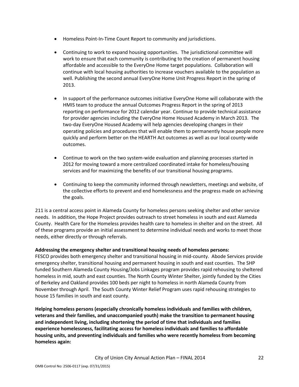- Homeless Point-In-Time Count Report to community and jurisdictions.
- Continuing to work to expand housing opportunities. The jurisdictional committee will work to ensure that each community is contributing to the creation of permanent housing affordable and accessible to the EveryOne Home target populations. Collaboration will continue with local housing authorities to increase vouchers available to the population as well. Publishing the second annual EveryOne Home Unit Progress Report in the spring of 2013.
- In support of the performance outcomes initiative EveryOne Home will collaborate with the HMIS team to produce the annual Outcomes Progress Report in the spring of 2013 reporting on performance for 2012 calendar year. Continue to provide technical assistance for provider agencies including the EveryOne Home Housed Academy in March 2013. The two-day EveryOne Housed Academy will help agencies developing changes in their operating policies and procedures that will enable them to permanently house people more quickly and perform better on the HEARTH Act outcomes as well as our local county-wide outcomes.
- Continue to work on the two system-wide evaluation and planning processes started in 2012 for moving toward a more centralized coordinated intake for homeless/housing services and for maximizing the benefits of our transitional housing programs.
- Continuing to keep the community informed through newsletters, meetings and website, of the collective efforts to prevent and end homelessness and the progress made on achieving the goals.

211 is a central access point in Alameda County for homeless persons seeking shelter and other service needs. In addition, the Hope Project provides outreach to street homeless in south and east Alameda County. Health Care for the Homeless provides health care to homeless in shelter and on the street. All of these programs provide an initial assessment to determine individual needs and works to meet those needs, either directly or through referrals.

#### **Addressing the emergency shelter and transitional housing needs of homeless persons:**

FESCO provides both emergency shelter and transitional housing in mid-county. Abode Services provide emergency shelter, transitional housing and permanent housing in south and east counties. The SHP funded Southern Alameda County Housing/Jobs Linkages program provides rapid rehousing to sheltered homeless in mid, south and east counties. The North County Winter Shelter, jointly funded by the Cities of Berkeley and Oakland provides 100 beds per night to homeless in north Alameda County from November through April. The South County Winter Relief Program uses rapid rehousing strategies to house 15 families in south and east county.

**Helping homeless persons (especially chronically homeless individuals and families with children, veterans and their families, and unaccompanied youth) make the transition to permanent housing and independent living, including shortening the period of time that individuals and families experience homelessness, facilitating access for homeless individuals and families to affordable housing units, and preventing individuals and families who were recently homeless from becoming homeless again:**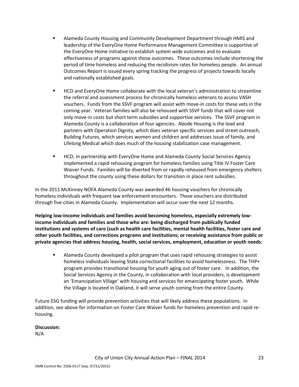- Alameda County Housing and Community Development Department through HMIS and leadership of the EveryOne Home Performance Management Committee is supportive of the EveryOne Home initiative to establish system wide outcomes and to evaluate effectiveness of programs against those outcomes. These outcomes include shortening the period of time homeless and reducing the recidivism rates for homeless people. An annual Outcomes Report is issued every spring tracking the progress of projects towards locally and nationally established goals.
- **HCD and EveryOne Home collaborate with the local veteran's administration to streamline** the referral and assessment process for chronically homeless veterans to access VASH vouchers. Funds from the SSVF program will assist with move-in costs for these vets in the coming year. Veteran families will also be rehoused with SSVF funds that will cover not only move-in costs but short term subsidies and supportive services. The SSVF program in Alameda County is a collaboration of four agencies. Abode Housing is the lead and partners with Operation Dignity, which does veteran specific services and street outreach, Building Futures, which services women and children and addresses issue of family, and Lifelong Medical which does much of the housing stabilization case management.
- HCD, in partnership with EveryOne Home and Alameda County Social Services Agency implemented a rapid rehousing program for homeless families using Title IV Foster Care Waiver Funds. Families will be diverted from or rapidly rehoused from emergency shelters throughout the county using these dollars for transition in place rent subsidies.

In the 2011 McKinney NOFA Alameda County was awarded 46 housing vouchers for chronically homeless individuals with frequent law enforcement encounters. These vouchers are distributed through five cities in Alameda County. Implementation will occur over the next 12 months.

**Helping low-income individuals and families avoid becoming homeless, especially extremely lowincome individuals and families and those who are: being discharged from publically funded institutions and systems of care (such as health care facilities, mental health facilities, foster care and other youth facilities, and corrections programs and institutions; or receiving assistance from public or private agencies that address housing, health, social services, employment, education or youth needs:**

 Alameda County developed a pilot program that uses rapid rehousing strategies to assist homeless individuals leaving State correctional facilities to avoid homelessness. The THP+ program provides transitional housing for youth aging out of foster care. In addition, the Social Services Agency in the County, in collaboration with local providers, is development an 'Emancipation Village' with housing and services for emancipating foster youth. While the Village is located in Oakland, it will serve youth coming from the entire County.

Future ESG funding will provide prevention activities that will likely address these populations. In addition, see above for information on Foster Care Waiver funds for homeless prevention and rapid rehousing.

#### **Discussion:**

N/A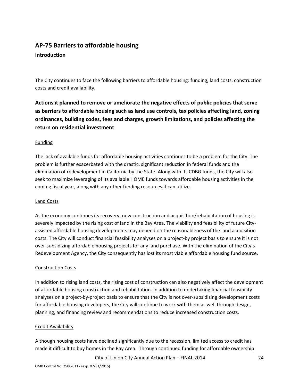# **AP-75 Barriers to affordable housing**

#### **Introduction**

The City continues to face the following barriers to affordable housing: funding, land costs, construction costs and credit availability.

## **Actions it planned to remove or ameliorate the negative effects of public policies that serve as barriers to affordable housing such as land use controls, tax policies affecting land, zoning ordinances, building codes, fees and charges, growth limitations, and policies affecting the return on residential investment**

#### **Funding**

The lack of available funds for affordable housing activities continues to be a problem for the City. The problem is further exacerbated with the drastic, significant reduction in federal funds and the elimination of redevelopment in California by the State. Along with its CDBG funds, the City will also seek to maximize leveraging of its available HOME funds towards affordable housing activities in the coming fiscal year, along with any other funding resources it can utilize.

#### Land Costs

As the economy continues its recovery, new construction and acquisition/rehabilitation of housing is severely impacted by the rising cost of land in the Bay Area. The viability and feasibility of future Cityassisted affordable housing developments may depend on the reasonableness of the land acquisition costs. The City will conduct financial feasibility analyses on a project-by project basis to ensure it is not over-subsidizing affordable housing projects for any land purchase. With the elimination of the City's Redevelopment Agency, the City consequently has lost its most viable affordable housing fund source.

#### Construction Costs

In addition to rising land costs, the rising cost of construction can also negatively affect the development of affordable housing construction and rehabilitation. In addition to undertaking financial feasibility analyses on a project-by-project basis to ensure that the City is not over-subsidizing development costs for affordable housing developers, the City will continue to work with them as well through design, planning, and financing review and recommendations to reduce increased construction costs.

#### Credit Availability

Although housing costs have declined significantly due to the recession, limited access to credit has made it difficult to buy homes in the Bay Area. Through continued funding for affordable ownership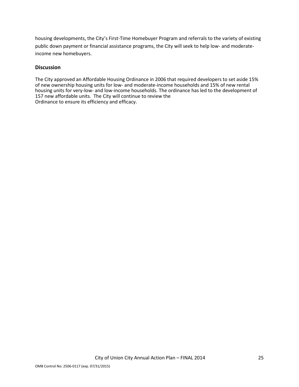housing developments, the City's First-Time Homebuyer Program and referrals to the variety of existing public down payment or financial assistance programs, the City will seek to help low- and moderateincome new homebuyers.

#### **Discussion**

The City approved an Affordable Housing Ordinance in 2006 that required developers to set aside 15% of new ownership housing units for low- and moderate-income households and 15% of new rental housing units for very-low- and low-income households. The ordinance has led to the development of 157 new affordable units. The City will continue to review the Ordinance to ensure its efficiency and efficacy.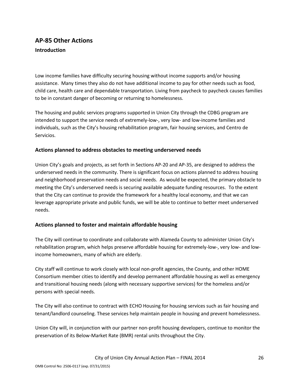## **AP-85 Other Actions Introduction**

Low income families have difficulty securing housing without income supports and/or housing assistance. Many times they also do not have additional income to pay for other needs such as food, child care, health care and dependable transportation. Living from paycheck to paycheck causes families to be in constant danger of becoming or returning to homelessness.

The housing and public services programs supported in Union City through the CDBG program are intended to support the service needs of extremely-low-, very low- and low-income families and individuals, such as the City's housing rehabilitation program, fair housing services, and Centro de Servicios.

#### **Actions planned to address obstacles to meeting underserved needs**

Union City's goals and projects, as set forth in Sections AP-20 and AP-35, are designed to address the underserved needs in the community. There is significant focus on actions planned to address housing and neighborhood preservation needs and social needs. As would be expected, the primary obstacle to meeting the City's underserved needs is securing available adequate funding resources. To the extent that the City can continue to provide the framework for a healthy local economy, and that we can leverage appropriate private and public funds, we will be able to continue to better meet underserved needs.

#### **Actions planned to foster and maintain affordable housing**

The City will continue to coordinate and collaborate with Alameda County to administer Union City's rehabilitation program, which helps preserve affordable housing for extremely-low-, very low- and lowincome homeowners, many of which are elderly.

City staff will continue to work closely with local non-profit agencies, the County, and other HOME Consortium member cities to identify and develop permanent affordable housing as well as emergency and transitional housing needs (along with necessary supportive services) for the homeless and/or persons with special needs.

The City will also continue to contract with ECHO Housing for housing services such as fair housing and tenant/landlord counseling. These services help maintain people in housing and prevent homelessness.

Union City will, in conjunction with our partner non-profit housing developers, continue to monitor the preservation of its Below-Market Rate (BMR) rental units throughout the City.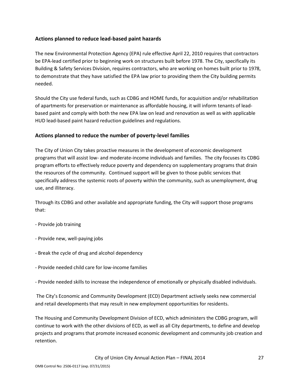#### **Actions planned to reduce lead-based paint hazards**

The new Environmental Protection Agency (EPA) rule effective April 22, 2010 requires that contractors be EPA-lead certified prior to beginning work on structures built before 1978. The City, specifically its Building & Safety Services Division, requires contractors, who are working on homes built prior to 1978, to demonstrate that they have satisfied the EPA law prior to providing them the City building permits needed.

Should the City use federal funds, such as CDBG and HOME funds, for acquisition and/or rehabilitation of apartments for preservation or maintenance as affordable housing, it will inform tenants of leadbased paint and comply with both the new EPA law on lead and renovation as well as with applicable HUD lead-based paint hazard reduction guidelines and regulations.

#### **Actions planned to reduce the number of poverty-level families**

The City of Union City takes proactive measures in the development of economic development programs that will assist low- and moderate-income individuals and families. The city focuses its CDBG program efforts to effectively reduce poverty and dependency on supplementary programs that drain the resources of the community. Continued support will be given to those public services that specifically address the systemic roots of poverty within the community, such as unemployment, drug use, and illiteracy.

Through its CDBG and other available and appropriate funding, the City will support those programs that:

- Provide job training
- Provide new, well-paying jobs
- Break the cycle of drug and alcohol dependency
- Provide needed child care for low-income families
- Provide needed skills to increase the independence of emotionally or physically disabled individuals.

The City's Economic and Community Development (ECD) Department actively seeks new commercial and retail developments that may result in new employment opportunities for residents.

The Housing and Community Development Division of ECD, which administers the CDBG program, will continue to work with the other divisions of ECD, as well as all City departments, to define and develop projects and programs that promote increased economic development and community job creation and retention.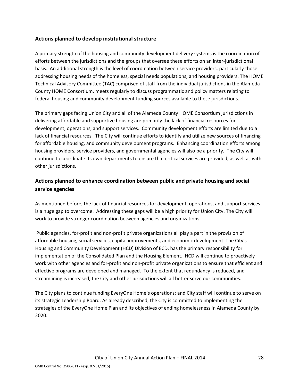#### **Actions planned to develop institutional structure**

A primary strength of the housing and community development delivery systems is the coordination of efforts between the jurisdictions and the groups that oversee these efforts on an inter-jurisdictional basis. An additional strength is the level of coordination between service providers, particularly those addressing housing needs of the homeless, special needs populations, and housing providers. The HOME Technical Advisory Committee (TAC) comprised of staff from the individual jurisdictions in the Alameda County HOME Consortium, meets regularly to discuss programmatic and policy matters relating to federal housing and community development funding sources available to these jurisdictions.

The primary gaps facing Union City and all of the Alameda County HOME Consortium jurisdictions in delivering affordable and supportive housing are primarily the lack of financial resources for development, operations, and support services. Community development efforts are limited due to a lack of financial resources. The City will continue efforts to identify and utilize new sources of financing for affordable housing, and community development programs. Enhancing coordination efforts among housing providers, service providers, and governmental agencies will also be a priority. The City will continue to coordinate its own departments to ensure that critical services are provided, as well as with other jurisdictions.

## **Actions planned to enhance coordination between public and private housing and social service agencies**

As mentioned before, the lack of financial resources for development, operations, and support services is a huge gap to overcome. Addressing these gaps will be a high priority for Union City. The City will work to provide stronger coordination between agencies and organizations.

Public agencies, for-profit and non-profit private organizations all play a part in the provision of affordable housing, social services, capital improvements, and economic development. The City's Housing and Community Development (HCD) Division of ECD, has the primary responsibility for implementation of the Consolidated Plan and the Housing Element. HCD will continue to proactively work with other agencies and for-profit and non-profit private organizations to ensure that efficient and effective programs are developed and managed. To the extent that redundancy is reduced, and streamlining is increased, the City and other jurisdictions will all better serve our communities.

The City plans to continue funding EveryOne Home's operations; and City staff will continue to serve on its strategic Leadership Board. As already described, the City is committed to implementing the strategies of the EveryOne Home Plan and its objectives of ending homelessness in Alameda County by 2020.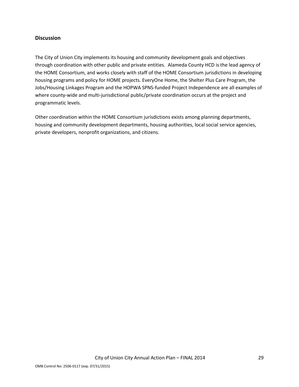#### **Discussion**

The City of Union City implements its housing and community development goals and objectives through coordination with other public and private entities. Alameda County HCD is the lead agency of the HOME Consortium, and works closely with staff of the HOME Consortium jurisdictions in developing housing programs and policy for HOME projects. EveryOne Home, the Shelter Plus Care Program, the Jobs/Housing Linkages Program and the HOPWA SPNS-funded Project Independence are all examples of where county-wide and multi-jurisdictional public/private coordination occurs at the project and programmatic levels.

Other coordination within the HOME Consortium jurisdictions exists among planning departments, housing and community development departments, housing authorities, local social service agencies, private developers, nonprofit organizations, and citizens.